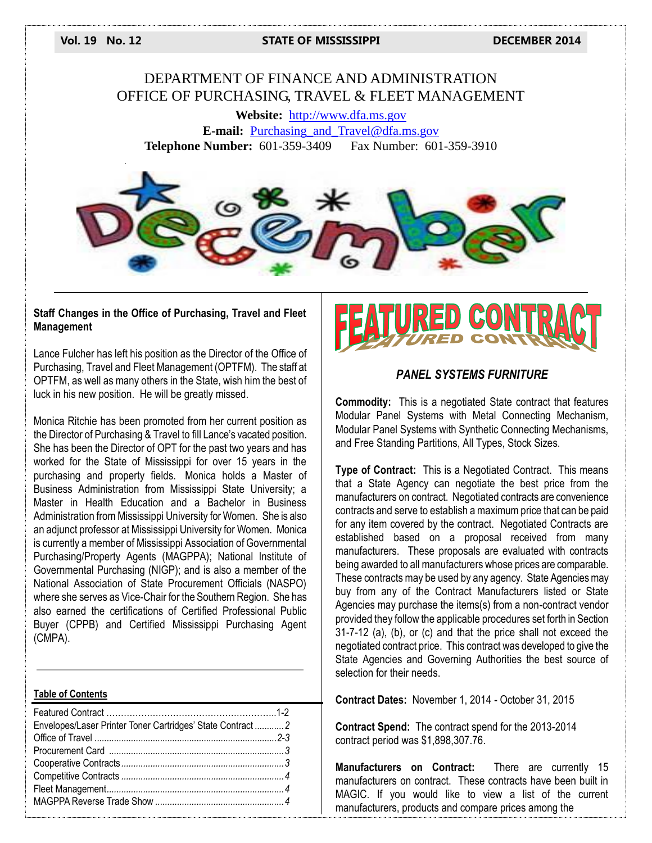**Vol. 19 No. 12 STATE OF MISSISSIPPI DECEMBER 2014**

## DEPARTMENT OF FINANCE AND ADMINISTRATION OFFICE OF PURCHASING, TRAVEL & FLEET MANAGEMENT

**Website:** [http://www.dfa.ms.gov](http://www.dfa.ms.gov/) **E-mail:** [Purchasing\\_and\\_Travel@dfa.ms.gov](mailto:Purchasing_and_Travel@dfa.ms.gov) **Telephone Number:** 601-359-3409 Fax Number: 601-359-3910



#### **Staff Changes in the Office of Purchasing, Travel and Fleet Management**

Lance Fulcher has left his position as the Director of the Office of Purchasing, Travel and Fleet Management (OPTFM). The staff at OPTFM, as well as many others in the State, wish him the best of luck in his new position. He will be greatly missed.

Monica Ritchie has been promoted from her current position as the Director of Purchasing & Travel to fill Lance's vacated position. She has been the Director of OPT for the past two years and has worked for the State of Mississippi for over 15 years in the purchasing and property fields. Monica holds a Master of Business Administration from Mississippi State University; a Master in Health Education and a Bachelor in Business Administration from Mississippi University for Women. She is also an adjunct professor at Mississippi University for Women. Monica is currently a member of Mississippi Association of Governmental Purchasing/Property Agents (MAGPPA); National Institute of Governmental Purchasing (NIGP); and is also a member of the National Association of State Procurement Officials (NASPO) where she serves as Vice-Chair for the Southern Region. She has also earned the certifications of Certified Professional Public Buyer (CPPB) and Certified Mississippi Purchasing Agent (CMPA).

| <b>Table of Contents</b>                                   |  |
|------------------------------------------------------------|--|
| Envelopes/Laser Printer Toner Cartridges' State Contract 2 |  |
|                                                            |  |
|                                                            |  |
|                                                            |  |



#### *PANEL SYSTEMS FURNITURE*

**Commodity:** This is a negotiated State contract that features Modular Panel Systems with Metal Connecting Mechanism, Modular Panel Systems with Synthetic Connecting Mechanisms, and Free Standing Partitions, All Types, Stock Sizes.

**Type of Contract:** This is a Negotiated Contract. This means that a State Agency can negotiate the best price from the manufacturers on contract. Negotiated contracts are convenience contracts and serve to establish a maximum price that can be paid for any item covered by the contract. Negotiated Contracts are established based on a proposal received from many manufacturers. These proposals are evaluated with contracts being awarded to all manufacturers whose prices are comparable. These contracts may be used by any agency. State Agencies may buy from any of the Contract Manufacturers listed or State Agencies may purchase the items(s) from a non-contract vendor provided they follow the applicable procedures set forth in Section 31-7-12 (a), (b), or (c) and that the price shall not exceed the negotiated contract price. This contract was developed to give the State Agencies and Governing Authorities the best source of selection for their needs.

**Contract Dates:** November 1, 2014 - October 31, 2015

**Contract Spend:** The contract spend for the 2013-2014 contract period was \$1,898,307.76.

**Manufacturers on Contract:** There are currently 15 manufacturers on contract. These contracts have been built in MAGIC. If you would like to view a list of the current manufacturers, products and compare prices among the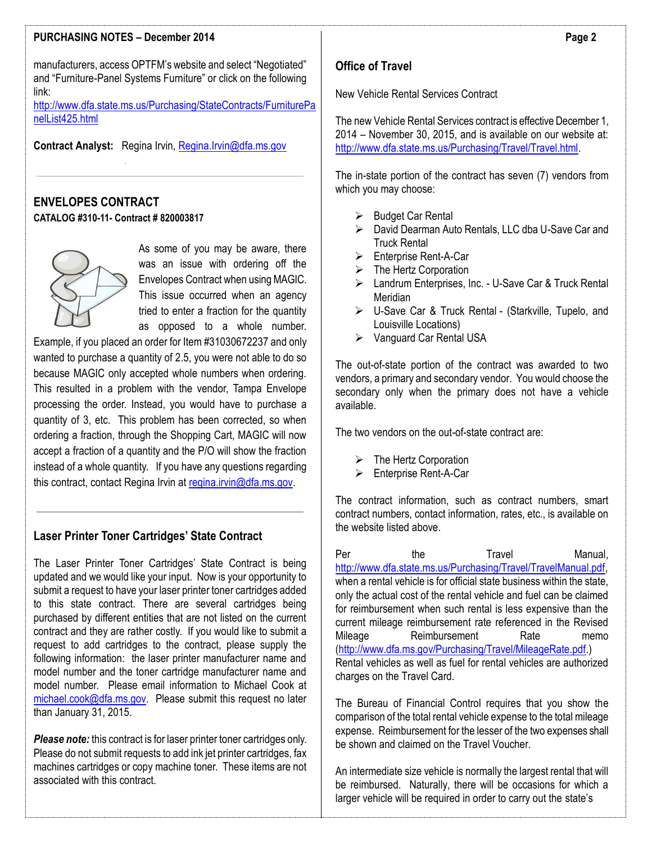#### **PURCHASING NOTES – December 2014**

manufacturers, access OPTFM's website and select "Negotiated" and "Furniture-Panel Systems Furniture" or click on the following link:

[http://www.dfa.state.ms.us/Purchasing/StateContracts/FurniturePa](http://www.dfa.state.ms.us/Purchasing/StateContracts/FurniturePanelList425.html) [nelList425.html](http://www.dfa.state.ms.us/Purchasing/StateContracts/FurniturePanelList425.html)

**Contract Analyst:** Regina Irvin[, Regina.Irvin@dfa.ms.gov](mailto:Regina.Irvin@dfa.ms.gov)

## **ENVELOPES CONTRACT CATALOG #310-11- Contract # 820003817**



As some of you may be aware, there was an issue with ordering off the Envelopes Contract when using MAGIC. This issue occurred when an agency tried to enter a fraction for the quantity as opposed to a whole number.

Example, if you placed an order for Item #31030672237 and only wanted to purchase a quantity of 2.5, you were not able to do so because MAGIC only accepted whole numbers when ordering. This resulted in a problem with the vendor, Tampa Envelope processing the order. Instead, you would have to purchase a quantity of 3, etc. This problem has been corrected, so when ordering a fraction, through the Shopping Cart, MAGIC will now accept a fraction of a quantity and the P/O will show the fraction instead of a whole quantity. If you have any questions regarding this contract, contact Regina Irvin at [regina.irvin@dfa.ms.gov.](mailto:regina.irvin@dfa.ms.gov)

### **Laser Printer Toner Cartridges' State Contract**

The Laser Printer Toner Cartridges' State Contract is being updated and we would like your input. Now is your opportunity to submit a request to have your laser printer toner cartridges added to this state contract. There are several cartridges being purchased by different entities that are not listed on the current contract and they are rather costly. If you would like to submit a request to add cartridges to the contract, please supply the following information: the laser printer manufacturer name and model number and the toner cartridge manufacturer name and model number. Please email information to Michael Cook at [michael.cook@dfa.ms.gov.](mailto:michael.cook@dfa.ms.gov) Please submit this request no later than January 31, 2015.

*Please note:* this contract is for laser printer toner cartridges only. Please do not submit requests to add ink jet printer cartridges, fax machines cartridges or copy machine toner. These items are not associated with this contract.

## **Office of Travel**

New Vehicle Rental Services Contract

The new Vehicle Rental Services contract is effective December 1, 2014 – November 30, 2015, and is available on our website at: [http://www.dfa.state.ms.us/Purchasing/Travel/Travel.html.](http://www.dfa.state.ms.us/Purchasing/Travel/Travel.html) 

The in-state portion of the contract has seven (7) vendors from which you may choose:

- $\triangleright$  Budget Car Rental
- David Dearman Auto Rentals, LLC dba U-Save Car and Truck Rental
- $\triangleright$  Fnterprise Rent-A-Car
- $\triangleright$  The Hertz Corporation
- Landrum Enterprises, Inc. U-Save Car & Truck Rental Meridian
- > U-Save Car & Truck Rental (Starkville, Tupelo, and Louisville Locations)
- ▶ Vanguard Car Rental USA

The out-of-state portion of the contract was awarded to two vendors, a primary and secondary vendor. You would choose the secondary only when the primary does not have a vehicle available.

The two vendors on the out-of-state contract are:

- > The Hertz Corporation
- Enterprise Rent-A-Car

The contract information, such as contract numbers, smart contract numbers, contact information, rates, etc., is available on the website listed above.

Per the Travel Manual, [http://www.dfa.state.ms.us/Purchasing/Travel/TravelManual.pdf,](http://www.dfa.state.ms.us/Purchasing/Travel/TravelManual.pdf) when a rental vehicle is for official state business within the state. only the actual cost of the rental vehicle and fuel can be claimed for reimbursement when such rental is less expensive than the current mileage reimbursement rate referenced in the Revised Mileage Reimbursement Rate memo [\(http://www.dfa.ms.gov/Purchasing/Travel/MileageRate.pdf.](http://www.dfa.state.ms.us/Purchasing/Travel/MileageRate.pdf)) Rental vehicles as well as fuel for rental vehicles are authorized charges on the Travel Card.

The Bureau of Financial Control requires that you show the comparison of the total rental vehicle expense to the total mileage expense. Reimbursement for the lesser of the two expenses shall be shown and claimed on the Travel Voucher.

An intermediate size vehicle is normally the largest rental that will be reimbursed. Naturally, there will be occasions for which a larger vehicle will be required in order to carry out the state's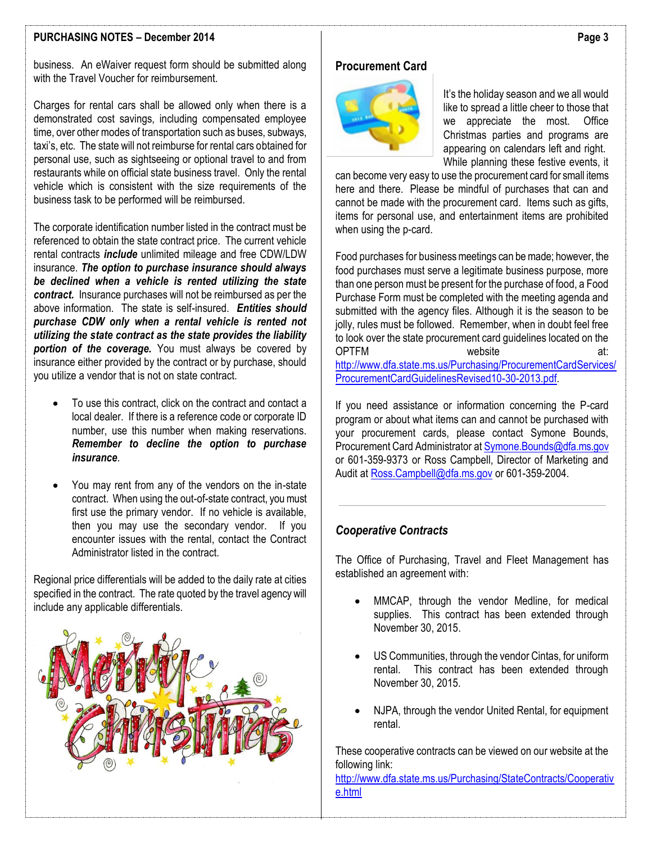#### **PURCHASING NOTES – December 2014**

business. An eWaiver request form should be submitted along with the Travel Voucher for reimbursement.

Charges for rental cars shall be allowed only when there is a demonstrated cost savings, including compensated employee time, over other modes of transportation such as buses, subways, taxi's, etc. The state will not reimburse for rental cars obtained for personal use, such as sightseeing or optional travel to and from restaurants while on official state business travel. Only the rental vehicle which is consistent with the size requirements of the business task to be performed will be reimbursed.

The corporate identification number listed in the contract must be referenced to obtain the state contract price. The current vehicle rental contracts *include* unlimited mileage and free CDW/LDW insurance. *The option to purchase insurance should always be declined when a vehicle is rented utilizing the state contract.* Insurance purchases will not be reimbursed as per the above information. The state is self-insured. *Entities should purchase CDW only when a rental vehicle is rented not utilizing the state contract as the state provides the liability portion of the coverage.* You must always be covered by insurance either provided by the contract or by purchase, should you utilize a vendor that is not on state contract.

- To use this contract, click on the contract and contact a local dealer. If there is a reference code or corporate ID number, use this number when making reservations. *Remember to decline the option to purchase insurance*.
- You may rent from any of the vendors on the in-state contract. When using the out-of-state contract, you must first use the primary vendor. If no vehicle is available, then you may use the secondary vendor. If you encounter issues with the rental, contact the Contract Administrator listed in the contract.

Regional price differentials will be added to the daily rate at cities specified in the contract. The rate quoted by the travel agency will include any applicable differentials.



### **Procurement Card**



It's the holiday season and we all would like to spread a little cheer to those that we appreciate the most. Office Christmas parties and programs are appearing on calendars left and right. While planning these festive events, it

can become very easy to use the procurement card for small items here and there. Please be mindful of purchases that can and cannot be made with the procurement card. Items such as gifts, items for personal use, and entertainment items are prohibited when using the p-card.

Food purchases for business meetings can be made; however, the food purchases must serve a legitimate business purpose, more than one person must be present for the purchase of food, a Food Purchase Form must be completed with the meeting agenda and submitted with the agency files. Although it is the season to be jolly, rules must be followed. Remember, when in doubt feel free to look over the state procurement card guidelines located on the<br>OPTFM at OPTFM website at: [http://www.dfa.state.ms.us/Purchasing/ProcurementCardServices/](http://www.dfa.state.ms.us/Purchasing/ProcurementCardServices/ProcurementCardGuidelinesRevised10-30-2013.pdf) [ProcurementCardGuidelinesRevised10-30-2013.pdf.](http://www.dfa.state.ms.us/Purchasing/ProcurementCardServices/ProcurementCardGuidelinesRevised10-30-2013.pdf)

If you need assistance or information concerning the P-card program or about what items can and cannot be purchased with your procurement cards, please contact Symone Bounds, Procurement Card Administrator a[t Symone.Bounds@dfa.ms.gov](mailto:Symone.Bounds@dfa.ms.gov) or 601-359-9373 or Ross Campbell, Director of Marketing and Audit at [Ross.Campbell@dfa.ms.gov](mailto:Ross.Campbell@dfa.ms.gov) or 601-359-2004.

#### *Cooperative Contracts*

The Office of Purchasing, Travel and Fleet Management has established an agreement with:

- MMCAP, through the vendor Medline, for medical supplies. This contract has been extended through November 30, 2015.
- US Communities, through the vendor Cintas, for uniform rental. This contract has been extended through November 30, 2015.
- NJPA, through the vendor United Rental, for equipment rental.

These cooperative contracts can be viewed on our website at the following link:

[http://www.dfa.state.ms.us/Purchasing/StateContracts/Cooperativ](http://www.dfa.state.ms.us/Purchasing/StateContracts/Cooperative.html) [e.html](http://www.dfa.state.ms.us/Purchasing/StateContracts/Cooperative.html)